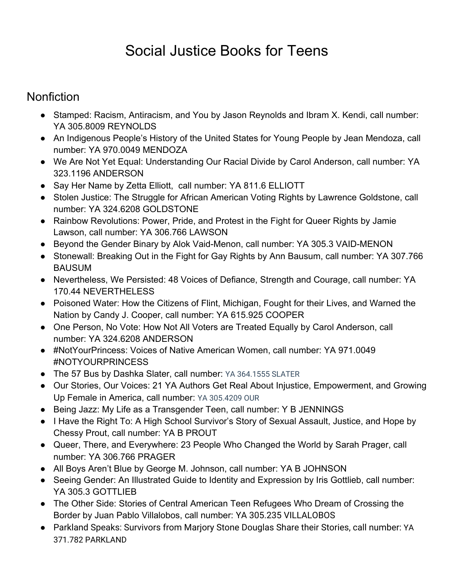## Social Justice Books for Teens

## **Nonfiction**

- Stamped: Racism, Antiracism, and You by Jason Reynolds and Ibram X. Kendi, call number: YA 305.8009 REYNOLDS
- An Indigenous People's History of the United States for Young People by Jean Mendoza, call number: YA 970.0049 MENDOZA
- We Are Not Yet Equal: Understanding Our Racial Divide by Carol Anderson, call number: YA 323.1196 ANDERSON
- Say Her Name by Zetta Elliott, call number: YA 811.6 ELLIOTT
- Stolen Justice: The Struggle for African American Voting Rights by Lawrence Goldstone, call number: YA 324.6208 GOLDSTONE
- Rainbow Revolutions: Power, Pride, and Protest in the Fight for Queer Rights by Jamie Lawson, call number: YA 306.766 LAWSON
- Beyond the Gender Binary by Alok Vaid-Menon, call number: YA 305.3 VAID-MENON
- Stonewall: Breaking Out in the Fight for Gay Rights by Ann Bausum, call number: YA 307.766 BAUSUM
- Nevertheless, We Persisted: 48 Voices of Defiance, Strength and Courage, call number: YA 170.44 NEVERTHELESS
- Poisoned Water: How the Citizens of Flint, Michigan, Fought for their Lives, and Warned the Nation by Candy J. Cooper, call number: YA 615.925 COOPER
- One Person, No Vote: How Not All Voters are Treated Equally by Carol Anderson, call number: YA 324.6208 ANDERSON
- #NotYourPrincess: Voices of Native American Women, call number: YA 971.0049 #NOTYOURPRINCESS
- The 57 Bus by Dashka Slater, call number: YA 364.1555 SLATER
- Our Stories, Our Voices: 21 YA Authors Get Real About Injustice, Empowerment, and Growing Up Female in America, call number: YA 305.4209 OUR
- Being Jazz: My Life as a Transgender Teen, call number: Y B JENNINGS
- I Have the Right To: A High School Survivor's Story of Sexual Assault, Justice, and Hope by Chessy Prout, call number: YA B PROUT
- Queer, There, and Everywhere: 23 People Who Changed the World by Sarah Prager, call number: YA 306.766 PRAGER
- All Boys Aren't Blue by George M. Johnson, call number: YA B JOHNSON
- Seeing Gender: An Illustrated Guide to Identity and Expression by Iris Gottlieb, call number: YA 305.3 GOTTLIEB
- The Other Side: Stories of Central American Teen Refugees Who Dream of Crossing the Border by Juan Pablo Villalobos, call number: YA 305.235 VILLALOBOS
- Parkland Speaks: Survivors from Marjory Stone Douglas Share their Stories, call number: YA 371.782 PARKLAND